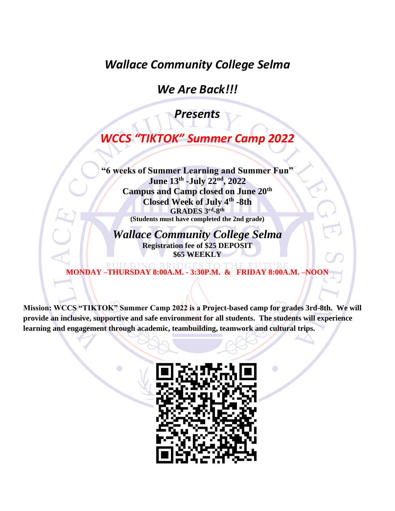*Wallace Community College Selma*

*We Are Back!!!*

*Presents*

*WCCS "TIKTOK" Summer Camp 2022*

**"6 weeks of Summer Learning and Summer Fun" June 13th -July 22nd , 2022 Campus and Camp closed on June 20th Closed Week of July 4th -8th GRADES 3rd -8 th (Students must have completed the 2nd grade)**

*Wallace Community College Selma*  **Registration fee of \$25 DEPOSIT \$65 WEEKLY**

**MONDAY –THURSDAY 8:00A.M. - 3:30P.M. & FRIDAY 8:00A.M. –NOON**

**Mission: WCCS "TIKTOK" Summer Camp 2022 is a Project-based camp for grades 3rd-8th. We will provide an inclusive, supportive and safe environment for all students. The students will experience learning and engagement through academic, teambuilding, teamwork and cultural trips.** 

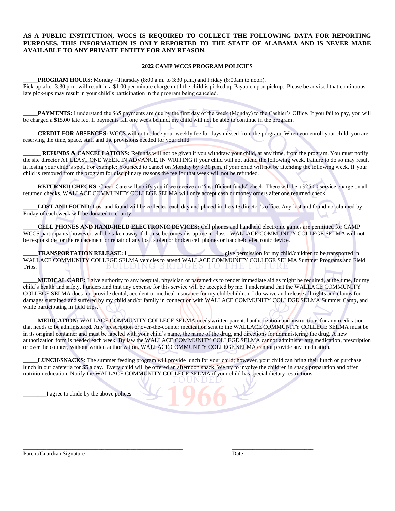#### **AS A PUBLIC INSTITUTION, WCCS IS REQUIRED TO COLLECT THE FOLLOWING DATA FOR REPORTING PURPOSES. THIS INFORMATION IS ONLY REPORTED TO THE STATE OF ALABAMA AND IS NEVER MADE AVAILABLE TO ANY PRIVATE ENTITY FOR ANY REASON.**

#### **2022 CAMP WCCS PROGRAM POLICIES**

\_\_\_\_\_**PROGRAM HOURS:** Monday –Thursday (8:00 a.m. to 3:30 p.m.) and Friday (8:00am to noon).

Pick-up after 3:30 p.m. will result in a \$1.00 per minute charge until the child is picked up Payable upon pickup. Please be advised that continuous late pick-ups may result in your child's participation in the program being canceled.

PAYMENTS: I understand the \$65 payments are due by the first day of the week (Monday) to the Cashier's Office. If you fail to pay, you will be charged a \$15.00 late fee. If payments fall one week behind, my child will not be able to continue in the program.

\_\_\_\_\_**CREDIT FOR ABSENCES:** WCCS will not reduce your weekly fee for days missed from the program. When you enroll your child, you are reserving the time, space, staff and the provisions needed for your child.

**REFUNDS & CANCELLATIONS:** Refunds will not be given if you withdraw your child, at any time, from the program. You must notify the site director AT LEAST ONE WEEK IN ADVANCE, IN WRITING if your child will not attend the following week. Failure to do so may result in losing your child's spot. For example: You need to cancel on Monday by 3:30 p.m. if your child will not be attending the following week. If your child is removed from the program for disciplinary reasons the fee for that week will not be refunded.

RETURNED CHECKS: Check Care will notify you if we receive an "insufficient funds" check. There will be a \$25.00 service charge on all returned checks. WALLACE COMMUNITY COLLEGE SELMA will only accept cash or money orders after one returned check.

LOST AND FOUND: Lost and found will be collected each day and placed in the site director's office. Any lost and found not claimed by Friday of each week will be donated to charity.

\_\_\_\_\_**CELL PHONES AND HAND-HELD ELECTRONIC DEVICES:** Cell phones and handheld electronic games are permitted for CAMP WCCS participants; however, will be taken away if the use becomes disruptive in class. WALLACE COMMUNITY COLLEGE SELMA will not be responsible for the replacement or repair of any lost, stolen or broken cell phones or handheld electronic device.

\_\_\_\_\_**TRANSPORTATION RELEASE:** I \_\_\_\_\_\_\_\_\_\_\_\_\_\_\_\_\_\_\_\_\_\_\_\_\_\_\_\_\_\_\_\_\_ give permission for my child/children to be transported in WALLACE COMMUNITY COLLEGE SELMA vehicles to attend WALLACE COMMUNITY COLLEGE SELMA Summer Programs and Field Trips. BUILDING BRIDGES  $\cup$ THE F

\_\_\_\_\_**MEDICAL CARE:** I give authority to any hospital, physician or paramedics to render immediate aid as might be required, at the time, for my child's health and safety. I understand that any expense for this service will be accepted by me. I understand that the WALLACE COMMUNITY COLLEGE SELMA does not provide dental, accident or medical insurance for my child/children. I do waive and release all rights and claims for damages sustained and suffered by my child and/or family in connection with WALLACE COMMUNITY COLLEGE SELMA Summer Camp, and while participating in field trips.

\_\_\_\_\_**MEDICATION:** WALLACE COMMUNITY COLLEGE SELMA needs written parental authorization and instructions for any medication that needs to be administered. Any prescription or over-the-counter medication sent to the WALLACE COMMUNITY COLLEGE SELMA must be in its original container and must be labeled with your child's name, the name of the drug, and directions for administering the drug. A new authorization form is needed each week. By law the WALLACE COMMUNITY COLLEGE SELMA cannot administer any medication, prescription or over the counter, without written authorization. WALLACE COMMUNITY COLLEGE SELMA cannot provide any medication.

LUNCH/SNACKS: The summer feeding program will provide lunch for your child; however, your child can bring their lunch or purchase lunch in our cafeteria for \$5 a day. Every child will be offered an afternoon snack. We try to involve the children in snack preparation and offer nutrition education. Notify the WALLACE COMMUNITY COLLEGE SELMA if your child has special dietary restrictions.

\_\_\_\_\_\_\_\_\_\_\_\_\_\_\_\_\_\_\_\_\_\_\_\_\_\_\_\_\_\_\_\_\_\_\_\_\_\_\_\_\_\_\_\_\_\_\_\_\_\_\_\_\_\_\_ \_\_\_\_\_\_\_\_\_\_\_\_\_\_\_\_\_\_\_\_\_\_\_\_\_\_\_\_

\_\_\_\_\_\_\_\_I agree to abide by the above polices

Parent/Guardian Signature Date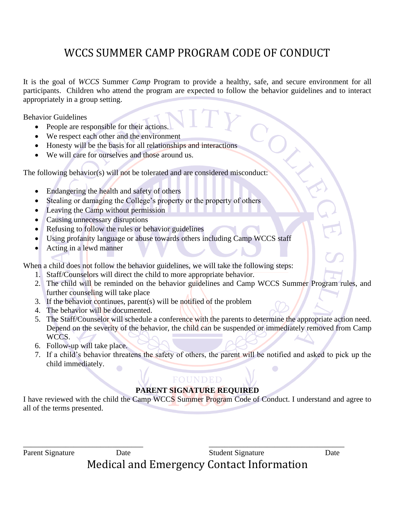# WCCS SUMMER CAMP PROGRAM CODE OF CONDUCT

It is the goal of *WCCS* Summer *Camp* Program to provide a healthy, safe, and secure environment for all participants. Children who attend the program are expected to follow the behavior guidelines and to interact appropriately in a group setting.

Behavior Guidelines

- People are responsible for their actions.
- We respect each other and the environment
- Honesty will be the basis for all relationships and interactions
- We will care for ourselves and those around us.

The following behavior(s) will not be tolerated and are considered misconduct:

- Endangering the health and safety of others
- Stealing or damaging the College's property or the property of others
- Leaving the Camp without permission
- Causing unnecessary disruptions
- Refusing to follow the rules or behavior guidelines
- Using profanity language or abuse towards others including Camp WCCS staff
- Acting in a lewd manner

When a child does not follow the behavior guidelines, we will take the following steps:

- 1. Staff/Counselors will direct the child to more appropriate behavior.
- 2. The child will be reminded on the behavior guidelines and Camp WCCS Summer Program rules, and further counseling will take place
- 3. If the behavior continues, parent(s) will be notified of the problem
- 4. The behavior will be documented.
- 5. The Staff/Counselor will schedule a conference with the parents to determine the appropriate action need. Depend on the severity of the behavior, the child can be suspended or immediately removed from Camp WCCS.
- 6. Follow-up will take place.
- 7. If a child's behavior threatens the safety of others, the parent will be notified and asked to pick up the child immediately.

#### FOUNDED **PARENT SIGNATURE REQUIRED**

I have reviewed with the child the Camp WCCS Summer Program Code of Conduct. I understand and agree to all of the terms presented.

\_\_\_\_\_\_\_\_\_\_\_\_\_\_\_\_\_\_\_\_\_\_\_\_\_\_\_\_\_\_\_ \_\_\_\_\_\_\_\_\_\_\_\_\_\_\_\_\_\_\_\_\_\_\_\_\_\_\_\_\_\_\_\_\_\_\_ Parent Signature Date Date Student Signature Date

Medical and Emergency Contact Information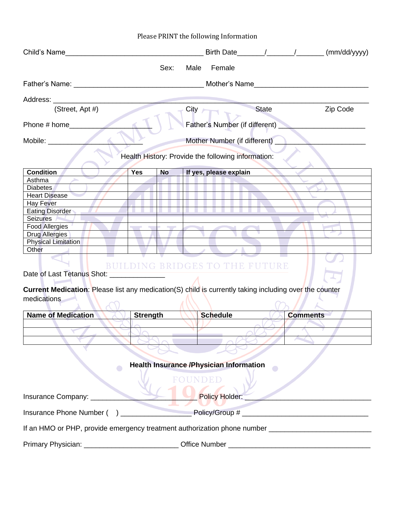#### Child's Name  $\qquad \qquad$   $\qquad \qquad$   $\qquad \qquad$   $\qquad \qquad$   $\qquad \qquad$   $\qquad \qquad$   $\qquad \qquad$   $\qquad \qquad$   $\qquad$   $\qquad$   $\qquad$   $\qquad$   $\qquad$   $\qquad$   $\qquad$   $\qquad$   $\qquad$   $\qquad$   $\qquad$   $\qquad$   $\qquad$   $\qquad$   $\qquad$   $\qquad$   $\qquad$   $\qquad$   $\qquad$   $\qquad$   $\qquad$   $\qquad$   $\qquad$ Sex: Male Female Father's Name: \_\_\_\_\_\_\_\_\_\_\_\_\_\_\_\_\_\_\_\_\_\_\_\_\_\_\_\_\_\_\_\_\_ Mother's Name\_\_\_\_\_\_\_\_\_\_\_\_\_\_\_\_\_\_\_\_\_\_\_\_\_\_\_\_\_ Address: (Street, Apt #) City City State Zip Code Phone # home\_\_\_\_\_\_\_\_\_\_\_\_\_\_\_\_\_\_\_\_\_ Father's Number (if different) \_\_\_\_\_\_\_\_\_\_\_\_\_\_\_\_\_\_\_\_\_\_ Mobile: Mother Number (if different) Health History: Provide the following information: **Condition Yes No If yes, please explain** Asthma **Diabetes** Heart Disease Hay Fever Eating Disorder Seizures Food Allergies Drug Allergies Physical Limitation **Other BUILDING BRIDGES TO THE FUTURE** Date of Last Tetanus Shot: **Current Medication**: Please list any medication(S) child is currently taking including over the counter medications **Name of Medication <b>Strength Strength Schedule Comments**  $\infty$ **Health Insurance /Physician Information**  $\bullet$  $\blacksquare$ FOUNDED Insurance Company: \_\_\_\_\_\_\_\_\_\_\_\_\_\_\_\_\_\_\_\_\_\_\_\_\_\_\_ Policy Holder: \_\_\_\_\_\_\_\_\_\_\_\_\_\_\_\_\_\_\_\_\_\_\_\_\_\_\_\_\_\_\_\_ Insurance Phone Number ( ) \_\_\_\_\_\_\_\_\_\_\_\_\_\_\_\_\_\_ Policy/Group # \_\_\_\_\_\_\_\_\_\_\_\_\_\_\_\_\_\_\_\_\_\_\_\_\_\_\_\_\_\_\_\_ If an HMO or PHP, provide emergency treatment authorization phone number \_\_\_\_\_\_\_\_\_\_\_\_\_\_\_\_\_\_\_\_\_\_\_\_\_\_ Primary Physician: example of the Office Number  $\Box$

Please PRINT the following Information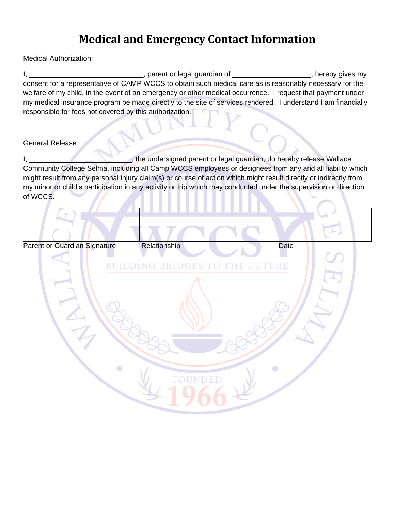### **Medical and Emergency Contact Information**

Medical Authorization:

I, \_\_\_\_\_\_\_\_\_\_\_\_\_\_\_\_\_\_\_\_\_\_\_\_\_\_\_\_\_\_\_\_, parent or legal guardian of \_\_\_\_\_\_\_\_\_\_\_\_\_\_\_\_\_\_\_\_\_\_, hereby gives my consent for a representative of CAMP WCCS to obtain such medical care as is reasonably necessary for the welfare of my child, in the event of an emergency or other medical occurrence. I request that payment under my medical insurance program be made directly to the site of services rendered. I understand I am financially responsible for fees not covered by this authorization.

#### General Release

I, \_\_\_\_\_\_\_\_\_\_\_\_\_\_\_\_\_\_\_\_\_\_\_\_\_\_\_\_\_\_\_, the undersigned parent or legal guardian, do hereby release Wallace Community College Selma, including all Camp WCCS employees or designees from any and all liability which might result from any personal injury claim(s) or course of action which might result directly or indirectly from my minor or child's participation in any activity or trip which may conducted under the supervision or direction of WCCS.

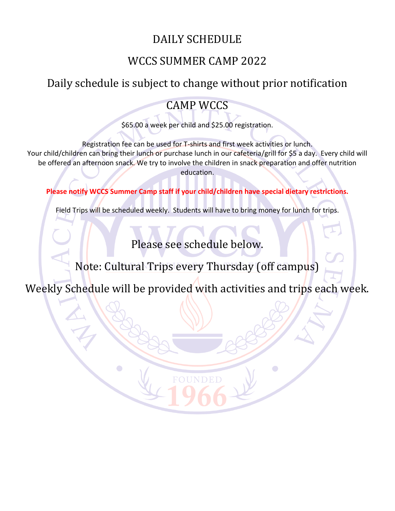## DAILY SCHEDULE

### WCCS SUMMER CAMP 2022

# Daily schedule is subject to change without prior notification

### CAMP WCCS

\$65.00 a week per child and \$25.00 registration.

Registration fee can be used for T-shirts and first week activities or lunch. Your child/children can bring their lunch or purchase lunch in our cafeteria/grill for \$5 a day. Every child will be offered an afternoon snack. We try to involve the children in snack preparation and offer nutrition education.

**Please notify WCCS Summer Camp staff if your child/children have special dietary restrictions.**

Field Trips will be scheduled weekly. Students will have to bring money for lunch for trips.

Please see schedule below.

Note: Cultural Trips every Thursday (off campus)

Weekly Schedule will be provided with activities and trips each week.